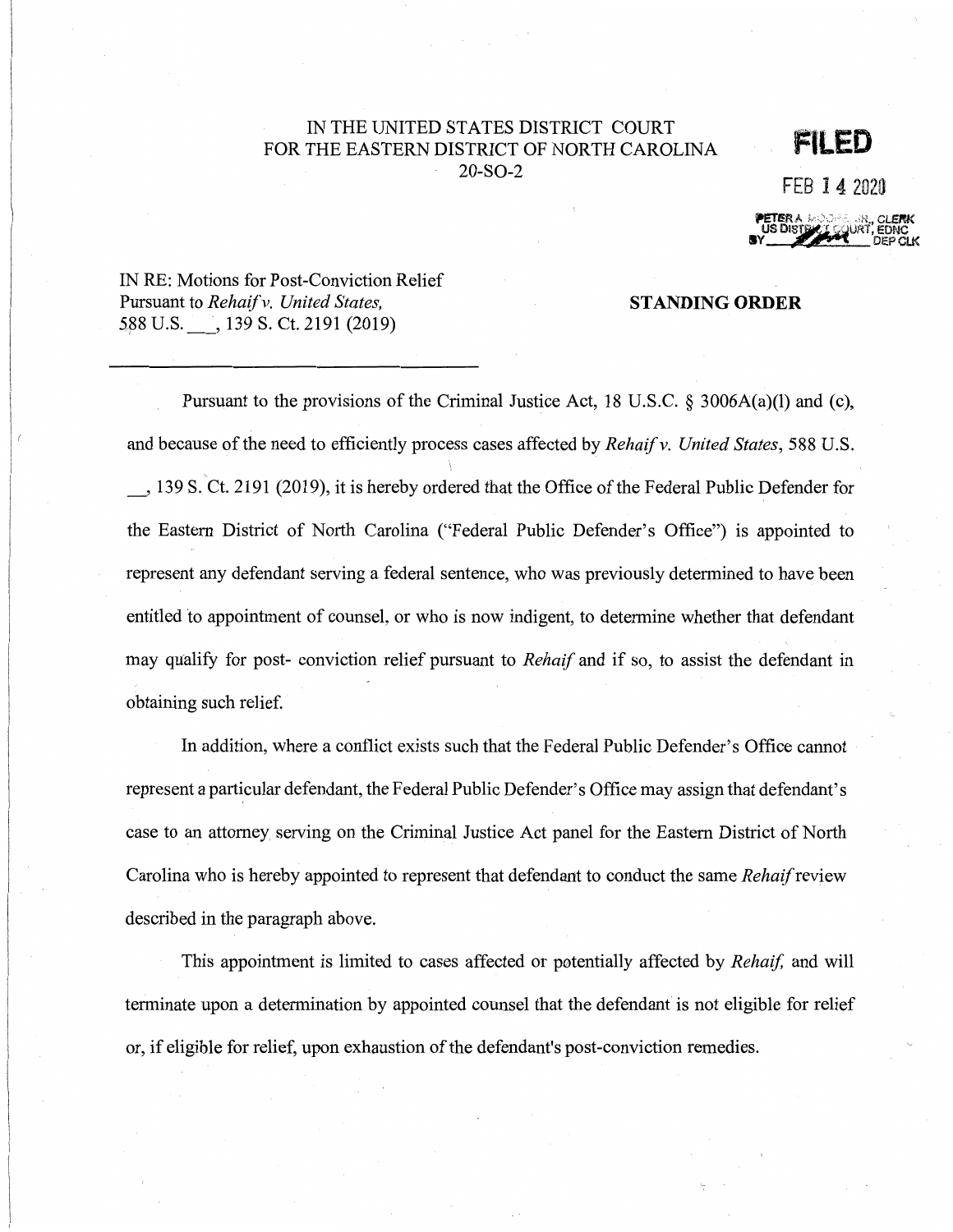## IN THE UNITED STATES DISTRICT COURT FOR THE EASTERN DISTRICT OF NORTH CAROLINA 20-S0-2

## **FILED**

FEB 14 2020



IN RE: Motions for Post-Conviction Relief Pursuant to *Rehaif v. United States,* **STANDING ORDER**  5,88 U.S. 139 S. Ct. 2191 (2019)

Pursuant to the provisions of the Criminal Justice Act, 18 U.S.C. § 3006A(a)(l) and (c), and because of the need to efficiently process cases affected by *Rehaif v. United States*, 588 U.S.  $\frac{1}{2}$ \_, 139 S. Ct. 2191 (2019), it is hereby ordered that the Office of the Federal Public Defender for the Eastern District of North Carolina ("Federal Public Defender's Office") is appointed to represent any defendant serving a federal sentence, who was previously determined to have been entitled to appointment of counsel, or who is now indigent, to determine whether that defendant may qualify for post- conviction relief pursuant to *Rehaif* and if so, to assist the defendant in obtaining such relief.

In addition, where a conflict exists such that the Federal Public Defender's Office cannot represent a particular defendant, the Federal Public Defender's Office may assign that defendant's case to an attorney serving on the Criminal Justice Act panel for the Eastern District of North Carolina who is hereby appointed to represent that defendant to conduct the same *Rehaif* review described in the paragraph above.

This appointment is limited to cases affected or potentially affected by *Rehaif*, and will terminate upon a determination by appointed counsel that the defendant is not eligible for relief or, if eligible for relief, upon exhaustion of the defendant's post-conviction remedies.